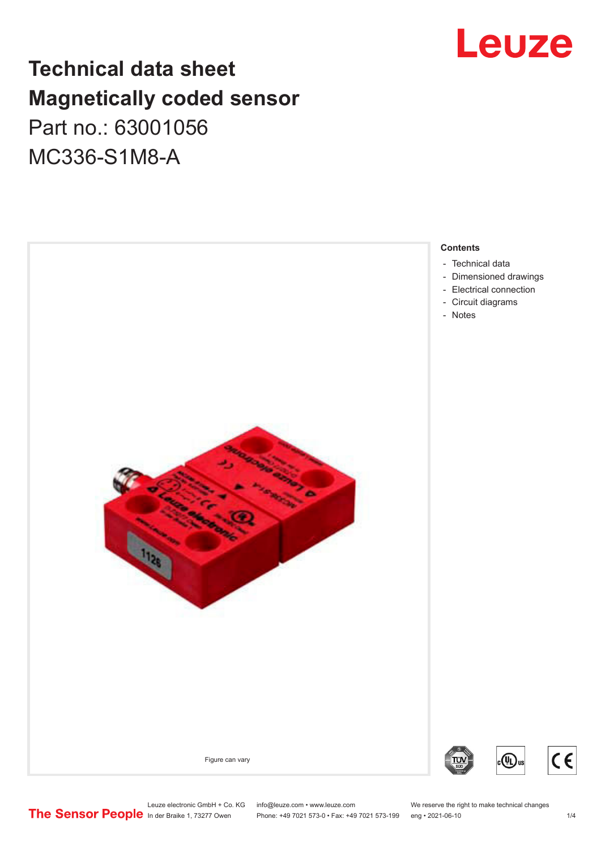# Leuze

## **Technical data sheet Magnetically coded sensor** Part no.: 63001056 MC336-S1M8-A



Leuze electronic GmbH + Co. KG info@leuze.com • www.leuze.com We reserve the right to make technical changes<br>
The Sensor People in der Braike 1, 73277 Owen Phone: +49 7021 573-0 • Fax: +49 7021 573-199 eng • 2021-06-10

Phone: +49 7021 573-0 • Fax: +49 7021 573-199 eng • 2021-06-10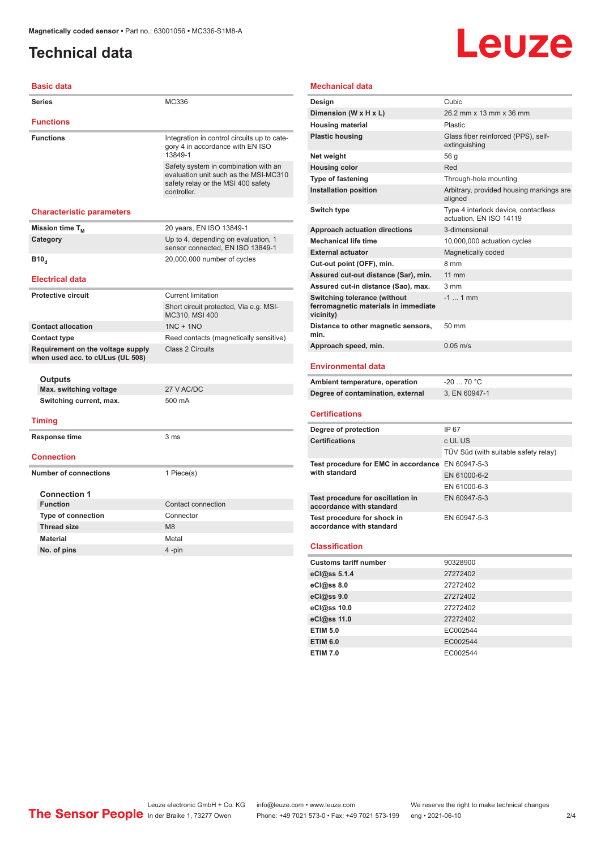## <span id="page-1-0"></span>**Technical data**

# **Leuze**

| <b>Basic data</b>                                                     |                                                                                                                                    |
|-----------------------------------------------------------------------|------------------------------------------------------------------------------------------------------------------------------------|
| <b>Series</b>                                                         | MC336                                                                                                                              |
| <b>Functions</b>                                                      |                                                                                                                                    |
|                                                                       |                                                                                                                                    |
| <b>Functions</b>                                                      | Integration in control circuits up to cate-<br>gory 4 in accordance with EN ISO<br>13849-1                                         |
|                                                                       | Safety system in combination with an<br>evaluation unit such as the MSI-MC310<br>safety relay or the MSI 400 safety<br>controller. |
| <b>Characteristic parameters</b>                                      |                                                                                                                                    |
| Mission time T <sub>M</sub>                                           | 20 years, EN ISO 13849-1                                                                                                           |
| Category                                                              | Up to 4, depending on evaluation, 1<br>sensor connected. EN ISO 13849-1                                                            |
| <b>B10</b> <sub>d</sub>                                               | 20,000,000 number of cycles                                                                                                        |
| <b>Electrical data</b>                                                |                                                                                                                                    |
| <b>Protective circuit</b>                                             | <b>Current limitation</b>                                                                                                          |
|                                                                       | Short circuit protected, Via e.g. MSI-<br>MC310, MSI 400                                                                           |
| <b>Contact allocation</b>                                             | $1NC + 1NO$                                                                                                                        |
| <b>Contact type</b>                                                   | Reed contacts (magnetically sensitive)                                                                                             |
| Requirement on the voltage supply<br>when used acc. to cULus (UL 508) | Class 2 Circuits                                                                                                                   |
| <b>Outputs</b>                                                        |                                                                                                                                    |
| Max. switching voltage                                                | 27 V AC/DC                                                                                                                         |
| Switching current, max.                                               | 500 mA                                                                                                                             |
| <b>Timing</b>                                                         |                                                                                                                                    |
| <b>Response time</b>                                                  | 3 <sub>ms</sub>                                                                                                                    |
| <b>Connection</b>                                                     |                                                                                                                                    |
| <b>Number of connections</b>                                          | 1 Piece(s)                                                                                                                         |
| <b>Connection 1</b>                                                   |                                                                                                                                    |
| <b>Function</b>                                                       | Contact connection                                                                                                                 |
| <b>Type of connection</b>                                             | Connector                                                                                                                          |
| <b>Thread size</b>                                                    | M <sub>8</sub>                                                                                                                     |
| <b>Material</b>                                                       | Metal                                                                                                                              |
| No. of pins                                                           | 4-pin                                                                                                                              |
|                                                                       |                                                                                                                                    |

#### **Mechanical data**

| Design                                                                                   | Cubic                                                           |
|------------------------------------------------------------------------------------------|-----------------------------------------------------------------|
| Dimension (W x H x L)                                                                    | 26.2 mm x 13 mm x 36 mm                                         |
| <b>Housing material</b>                                                                  | <b>Plastic</b>                                                  |
| <b>Plastic housing</b>                                                                   | Glass fiber reinforced (PPS), self-<br>extinguishing            |
| Net weight                                                                               | 56 g                                                            |
| <b>Housing color</b>                                                                     | Red                                                             |
| <b>Type of fastening</b>                                                                 | Through-hole mounting                                           |
| <b>Installation position</b>                                                             | Arbitrary, provided housing markings are<br>aligned             |
| Switch type                                                                              | Type 4 interlock device, contactless<br>actuation, EN ISO 14119 |
| <b>Approach actuation directions</b>                                                     | 3-dimensional                                                   |
| <b>Mechanical life time</b>                                                              | 10,000,000 actuation cycles                                     |
| <b>External actuator</b>                                                                 | Magnetically coded                                              |
| Cut-out point (OFF), min.                                                                | 8 mm                                                            |
| Assured cut-out distance (Sar), min.                                                     | <b>11 mm</b>                                                    |
| Assured cut-in distance (Sao), max.                                                      | $3 \, \text{mm}$                                                |
| <b>Switching tolerance (without</b><br>ferromagnetic materials in immediate<br>vicinity) | $-1$ 1 mm                                                       |
| Distance to other magnetic sensors,<br>min.                                              | 50 mm                                                           |
| Approach speed, min.                                                                     | $0.05$ m/s                                                      |
|                                                                                          |                                                                 |

#### **Environmental data**

| Ambient temperature, operation    | -20  70 °C    |
|-----------------------------------|---------------|
| Degree of contamination, external | 3. EN 60947-1 |

#### **Certifications**

| Degree of protection                                               | IP 67                                |
|--------------------------------------------------------------------|--------------------------------------|
| <b>Certifications</b>                                              | c UL US                              |
|                                                                    | TÜV Süd (with suitable safety relay) |
| Test procedure for EMC in accordance EN 60947-5-3<br>with standard |                                      |
|                                                                    | EN 61000-6-2                         |
|                                                                    | EN 61000-6-3                         |
| Test procedure for oscillation in<br>accordance with standard      | EN 60947-5-3                         |
| Test procedure for shock in<br>accordance with standard            | EN 60947-5-3                         |

#### **Classification**

| <b>Customs tariff number</b> | 90328900 |  |
|------------------------------|----------|--|
| eCl@ss 5.1.4                 | 27272402 |  |
| eCl@ss 8.0                   | 27272402 |  |
| eCl@ss 9.0                   | 27272402 |  |
| eCl@ss 10.0                  | 27272402 |  |
| eCl@ss 11.0                  | 27272402 |  |
| <b>ETIM 5.0</b>              | EC002544 |  |
| <b>ETIM 6.0</b>              | EC002544 |  |
| <b>ETIM 7.0</b>              | EC002544 |  |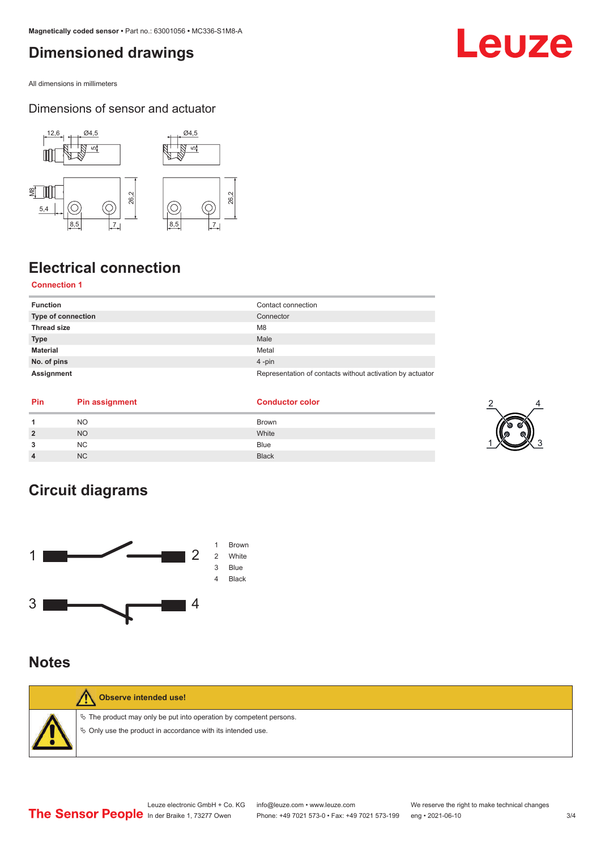## <span id="page-2-0"></span>**Dimensioned drawings**

All dimensions in millimeters

#### Dimensions of sensor and actuator



## **Electrical connection**

#### **Connection 1**

| <b>Function</b>    | Contact connection                                        |
|--------------------|-----------------------------------------------------------|
| Type of connection | Connector                                                 |
| <b>Thread size</b> | M <sub>8</sub>                                            |
| <b>Type</b>        | Male                                                      |
| <b>Material</b>    | Metal                                                     |
| No. of pins        | $4$ -pin                                                  |
| Assignment         | Representation of contacts without activation by actuator |

| <b>Pin</b> | <b>Pin assignment</b> | <b>Conductor color</b> |
|------------|-----------------------|------------------------|
|            | NO.                   | <b>Brown</b>           |
|            | <b>NO</b>             | White                  |
|            | <b>NC</b>             | <b>Blue</b>            |
|            | <b>NC</b>             | <b>Black</b>           |

## **Circuit diagrams**



### **Notes**

| <b>Observe intended use!</b>                                                                                                                     |
|--------------------------------------------------------------------------------------------------------------------------------------------------|
| $\%$ The product may only be put into operation by competent persons.<br>$\psi$ $\phi$ Only use the product in accordance with its intended use. |

## Leuze

2

1 X 3 3

4

Leuze electronic GmbH + Co. KG info@leuze.com • www.leuze.com We reserve the right to make technical changes<br>
The Sensor People in der Braike 1, 73277 Owen Phone: +49 7021 573-0 • Fax: +49 7021 573-199 eng • 2021-06-10 Phone: +49 7021 573-0 • Fax: +49 7021 573-199 eng • 2021-06-10 3/4